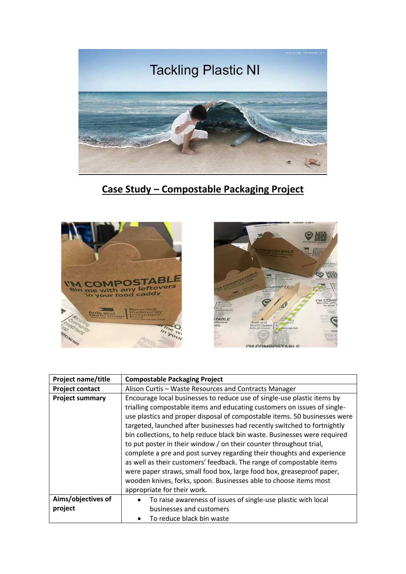

**Case Study – Compostable Packaging Project**





| <b>Project name/title</b>     | <b>Compostable Packaging Project</b>                                                                                                                                                                                                                                                                                                                                                                                                                                                                                                                                                                                                                                                                                                                            |
|-------------------------------|-----------------------------------------------------------------------------------------------------------------------------------------------------------------------------------------------------------------------------------------------------------------------------------------------------------------------------------------------------------------------------------------------------------------------------------------------------------------------------------------------------------------------------------------------------------------------------------------------------------------------------------------------------------------------------------------------------------------------------------------------------------------|
| <b>Project contact</b>        | Alison Curtis - Waste Resources and Contracts Manager                                                                                                                                                                                                                                                                                                                                                                                                                                                                                                                                                                                                                                                                                                           |
| <b>Project summary</b>        | Encourage local businesses to reduce use of single-use plastic items by<br>trialling compostable items and educating customers on issues of single-<br>use plastics and proper disposal of compostable items. 50 businesses were<br>targeted, launched after businesses had recently switched to fortnightly<br>bin collections, to help reduce black bin waste. Businesses were required<br>to put poster in their window / on their counter throughout trial,<br>complete a pre and post survey regarding their thoughts and experience<br>as well as their customers' feedback. The range of compostable items<br>were paper straws, small food box, large food box, greaseproof paper,<br>wooden knives, forks, spoon. Businesses able to choose items most |
|                               | appropriate for their work.                                                                                                                                                                                                                                                                                                                                                                                                                                                                                                                                                                                                                                                                                                                                     |
| Aims/objectives of<br>project | To raise awareness of issues of single-use plastic with local<br>$\bullet$<br>businesses and customers<br>To reduce black bin waste                                                                                                                                                                                                                                                                                                                                                                                                                                                                                                                                                                                                                             |